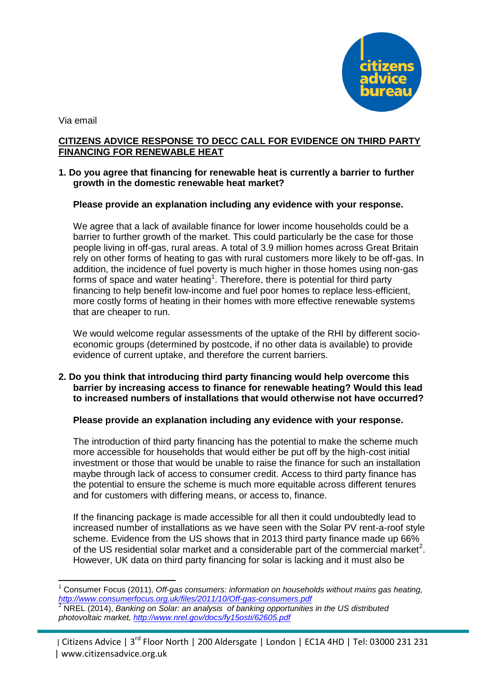

Via email

1

# **CITIZENS ADVICE RESPONSE TO DECC CALL FOR EVIDENCE ON THIRD PARTY FINANCING FOR RENEWABLE HEAT**

# **1. Do you agree that financing for renewable heat is currently a barrier to further growth in the domestic renewable heat market?**

# **Please provide an explanation including any evidence with your response.**

We agree that a lack of available finance for lower income households could be a barrier to further growth of the market. This could particularly be the case for those people living in off-gas, rural areas. A total of 3.9 million homes across Great Britain rely on other forms of heating to gas with rural customers more likely to be off-gas. In addition, the incidence of fuel poverty is much higher in those homes using non-gas forms of space and water heating<sup>1</sup>. Therefore, there is potential for third party financing to help benefit low-income and fuel poor homes to replace less-efficient, more costly forms of heating in their homes with more effective renewable systems that are cheaper to run.

We would welcome regular assessments of the uptake of the RHI by different socioeconomic groups (determined by postcode, if no other data is available) to provide evidence of current uptake, and therefore the current barriers.

# **2. Do you think that introducing third party financing would help overcome this barrier by increasing access to finance for renewable heating? Would this lead to increased numbers of installations that would otherwise not have occurred?**

## **Please provide an explanation including any evidence with your response.**

The introduction of third party financing has the potential to make the scheme much more accessible for households that would either be put off by the high-cost initial investment or those that would be unable to raise the finance for such an installation maybe through lack of access to consumer credit. Access to third party finance has the potential to ensure the scheme is much more equitable across different tenures and for customers with differing means, or access to, finance.

If the financing package is made accessible for all then it could undoubtedly lead to increased number of installations as we have seen with the Solar PV rent-a-roof style scheme. Evidence from the US shows that in 2013 third party finance made up 66% of the US residential solar market and a considerable part of the commercial market<sup>2</sup>. However, UK data on third party financing for solar is lacking and it must also be

<sup>1</sup> Consumer Focus (2011), *Off-gas consumers: information on households without mains gas heating, <http://www.consumerfocus.org.uk/files/2011/10/Off-gas-consumers.pdf>*

<sup>2</sup> NREL (2014), *Banking on Solar: an analysis of banking opportunities in the US distributed photovoltaic market,<http://www.nrel.gov/docs/fy15osti/62605.pdf>*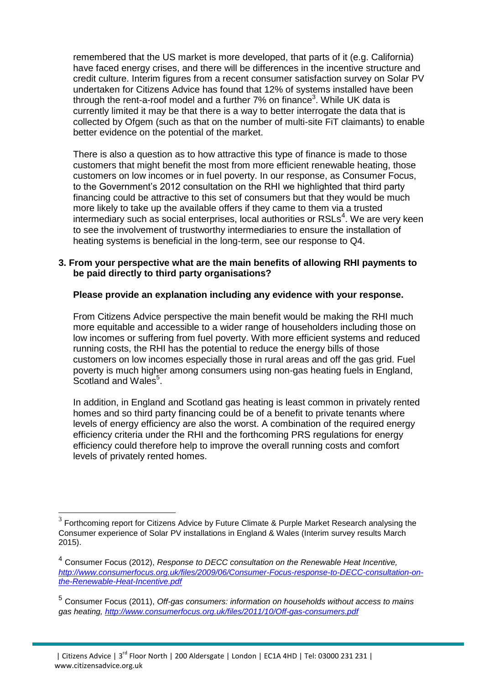remembered that the US market is more developed, that parts of it (e.g. California) have faced energy crises, and there will be differences in the incentive structure and credit culture. Interim figures from a recent consumer satisfaction survey on Solar PV undertaken for Citizens Advice has found that 12% of systems installed have been through the rent-a-roof model and a further  $7\%$  on finance<sup>3</sup>. While UK data is currently limited it may be that there is a way to better interrogate the data that is collected by Ofgem (such as that on the number of multi-site FiT claimants) to enable better evidence on the potential of the market.

There is also a question as to how attractive this type of finance is made to those customers that might benefit the most from more efficient renewable heating, those customers on low incomes or in fuel poverty. In our response, as Consumer Focus, to the Government's 2012 consultation on the RHI we highlighted that third party financing could be attractive to this set of consumers but that they would be much more likely to take up the available offers if they came to them via a trusted intermediary such as social enterprises, local authorities or RSLs<sup>4</sup>. We are very keen to see the involvement of trustworthy intermediaries to ensure the installation of heating systems is beneficial in the long-term, see our response to Q4.

## **3. From your perspective what are the main benefits of allowing RHI payments to be paid directly to third party organisations?**

# **Please provide an explanation including any evidence with your response.**

From Citizens Advice perspective the main benefit would be making the RHI much more equitable and accessible to a wider range of householders including those on low incomes or suffering from fuel poverty. With more efficient systems and reduced running costs, the RHI has the potential to reduce the energy bills of those customers on low incomes especially those in rural areas and off the gas grid. Fuel poverty is much higher among consumers using non-gas heating fuels in England, Scotland and Wales<sup>5</sup>.

In addition, in England and Scotland gas heating is least common in privately rented homes and so third party financing could be of a benefit to private tenants where levels of energy efficiency are also the worst. A combination of the required energy efficiency criteria under the RHI and the forthcoming PRS regulations for energy efficiency could therefore help to improve the overall running costs and comfort levels of privately rented homes.

 $3$  Forthcoming report for Citizens Advice by Future Climate & Purple Market Research analysing the Consumer experience of Solar PV installations in England & Wales (Interim survey results March 2015).

<sup>4</sup> Consumer Focus (2012), *Response to DECC consultation on the Renewable Heat Incentive[,](http://www.consumerfocus.org.uk/files/2009/06/Consumer-Focus-response-to-DECC-consultation-on-the-Renewable-Heat-Incentive.pdf) [http://www.consumerfocus.org.uk/files/2009/06/Consumer-Focus-response-to-DECC-consultation-on](http://www.consumerfocus.org.uk/files/2009/06/Consumer-Focus-response-to-DECC-consultation-on-the-Renewable-Heat-Incentive.pdf)[the-Renewable-Heat-Incentive.pdf](http://www.consumerfocus.org.uk/files/2009/06/Consumer-Focus-response-to-DECC-consultation-on-the-Renewable-Heat-Incentive.pdf)*

<sup>5</sup> Consumer Focus (2011), *Off-gas consumers: information on households without access to mains gas heating, <http://www.consumerfocus.org.uk/files/2011/10/Off-gas-consumers.pdf>*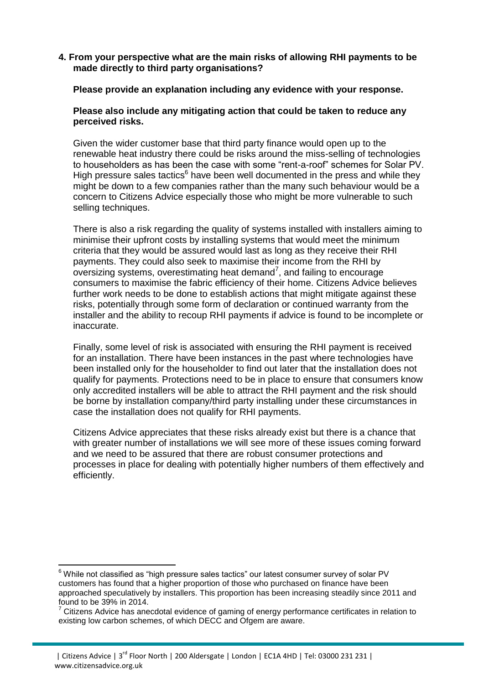## **4. From your perspective what are the main risks of allowing RHI payments to be made directly to third party organisations?**

## **Please provide an explanation including any evidence with your response.**

## **Please also include any mitigating action that could be taken to reduce any perceived risks.**

Given the wider customer base that third party finance would open up to the renewable heat industry there could be risks around the miss-selling of technologies to householders as has been the case with some "rent-a-roof" schemes for Solar PV. High pressure sales tactics<sup>6</sup> have been well documented in the press and while they might be down to a few companies rather than the many such behaviour would be a concern to Citizens Advice especially those who might be more vulnerable to such selling techniques.

There is also a risk regarding the quality of systems installed with installers aiming to minimise their upfront costs by installing systems that would meet the minimum criteria that they would be assured would last as long as they receive their RHI payments. They could also seek to maximise their income from the RHI by oversizing systems, overestimating heat demand<sup>7</sup>, and failing to encourage consumers to maximise the fabric efficiency of their home. Citizens Advice believes further work needs to be done to establish actions that might mitigate against these risks, potentially through some form of declaration or continued warranty from the installer and the ability to recoup RHI payments if advice is found to be incomplete or inaccurate.

Finally, some level of risk is associated with ensuring the RHI payment is received for an installation. There have been instances in the past where technologies have been installed only for the householder to find out later that the installation does not qualify for payments. Protections need to be in place to ensure that consumers know only accredited installers will be able to attract the RHI payment and the risk should be borne by installation company/third party installing under these circumstances in case the installation does not qualify for RHI payments.

Citizens Advice appreciates that these risks already exist but there is a chance that with greater number of installations we will see more of these issues coming forward and we need to be assured that there are robust consumer protections and processes in place for dealing with potentially higher numbers of them effectively and efficiently.

 $6$  While not classified as "high pressure sales tactics" our latest consumer survey of solar PV customers has found that a higher proportion of those who purchased on finance have been approached speculatively by installers. This proportion has been increasing steadily since 2011 and found to be 39% in 2014.

 $7$  Citizens Advice has anecdotal evidence of gaming of energy performance certificates in relation to existing low carbon schemes, of which DECC and Ofgem are aware.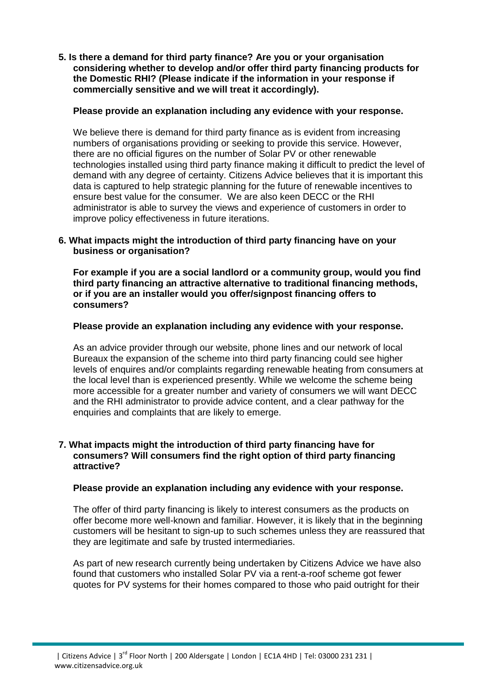**5. Is there a demand for third party finance? Are you or your organisation considering whether to develop and/or offer third party financing products for the Domestic RHI? (Please indicate if the information in your response if commercially sensitive and we will treat it accordingly).**

# **Please provide an explanation including any evidence with your response.**

We believe there is demand for third party finance as is evident from increasing numbers of organisations providing or seeking to provide this service. However, there are no official figures on the number of Solar PV or other renewable technologies installed using third party finance making it difficult to predict the level of demand with any degree of certainty. Citizens Advice believes that it is important this data is captured to help strategic planning for the future of renewable incentives to ensure best value for the consumer. We are also keen DECC or the RHI administrator is able to survey the views and experience of customers in order to improve policy effectiveness in future iterations.

# **6. What impacts might the introduction of third party financing have on your business or organisation?**

**For example if you are a social landlord or a community group, would you find third party financing an attractive alternative to traditional financing methods, or if you are an installer would you offer/signpost financing offers to consumers?**

# **Please provide an explanation including any evidence with your response.**

As an advice provider through our website, phone lines and our network of local Bureaux the expansion of the scheme into third party financing could see higher levels of enquires and/or complaints regarding renewable heating from consumers at the local level than is experienced presently. While we welcome the scheme being more accessible for a greater number and variety of consumers we will want DECC and the RHI administrator to provide advice content, and a clear pathway for the enquiries and complaints that are likely to emerge.

## **7. What impacts might the introduction of third party financing have for consumers? Will consumers find the right option of third party financing attractive?**

## **Please provide an explanation including any evidence with your response.**

The offer of third party financing is likely to interest consumers as the products on offer become more well-known and familiar. However, it is likely that in the beginning customers will be hesitant to sign-up to such schemes unless they are reassured that they are legitimate and safe by trusted intermediaries.

As part of new research currently being undertaken by Citizens Advice we have also found that customers who installed Solar PV via a rent-a-roof scheme got fewer quotes for PV systems for their homes compared to those who paid outright for their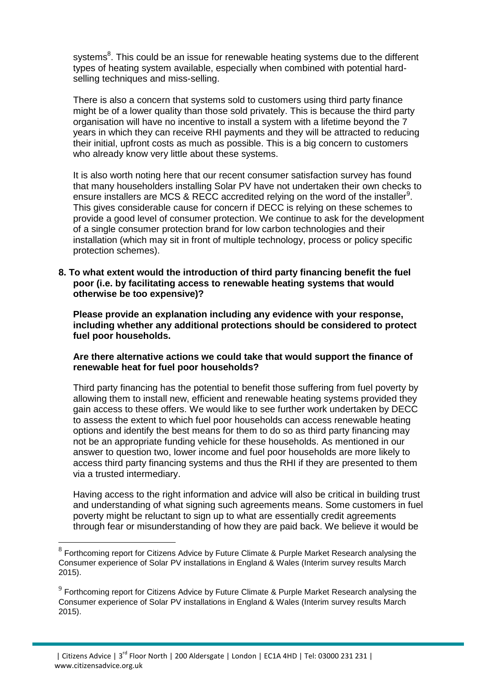systems<sup>8</sup>. This could be an issue for renewable heating systems due to the different types of heating system available, especially when combined with potential hardselling techniques and miss-selling.

There is also a concern that systems sold to customers using third party finance might be of a lower quality than those sold privately. This is because the third party organisation will have no incentive to install a system with a lifetime beyond the 7 years in which they can receive RHI payments and they will be attracted to reducing their initial, upfront costs as much as possible. This is a big concern to customers who already know very little about these systems.

It is also worth noting here that our recent consumer satisfaction survey has found that many householders installing Solar PV have not undertaken their own checks to ensure installers are MCS & RECC accredited relying on the word of the installer<sup>9</sup>. This gives considerable cause for concern if DECC is relying on these schemes to provide a good level of consumer protection. We continue to ask for the development of a single consumer protection brand for low carbon technologies and their installation (which may sit in front of multiple technology, process or policy specific protection schemes).

**8. To what extent would the introduction of third party financing benefit the fuel poor (i.e. by facilitating access to renewable heating systems that would otherwise be too expensive)?**

**Please provide an explanation including any evidence with your response, including whether any additional protections should be considered to protect fuel poor households.**

## **Are there alternative actions we could take that would support the finance of renewable heat for fuel poor households?**

Third party financing has the potential to benefit those suffering from fuel poverty by allowing them to install new, efficient and renewable heating systems provided they gain access to these offers. We would like to see further work undertaken by DECC to assess the extent to which fuel poor households can access renewable heating options and identify the best means for them to do so as third party financing may not be an appropriate funding vehicle for these households. As mentioned in our answer to question two, lower income and fuel poor households are more likely to access third party financing systems and thus the RHI if they are presented to them via a trusted intermediary.

Having access to the right information and advice will also be critical in building trust and understanding of what signing such agreements means. Some customers in fuel poverty might be reluctant to sign up to what are essentially credit agreements through fear or misunderstanding of how they are paid back. We believe it would be

 $8$  Forthcoming report for Citizens Advice by Future Climate & Purple Market Research analysing the Consumer experience of Solar PV installations in England & Wales (Interim survey results March 2015).

 $9$  Forthcoming report for Citizens Advice by Future Climate & Purple Market Research analysing the Consumer experience of Solar PV installations in England & Wales (Interim survey results March 2015).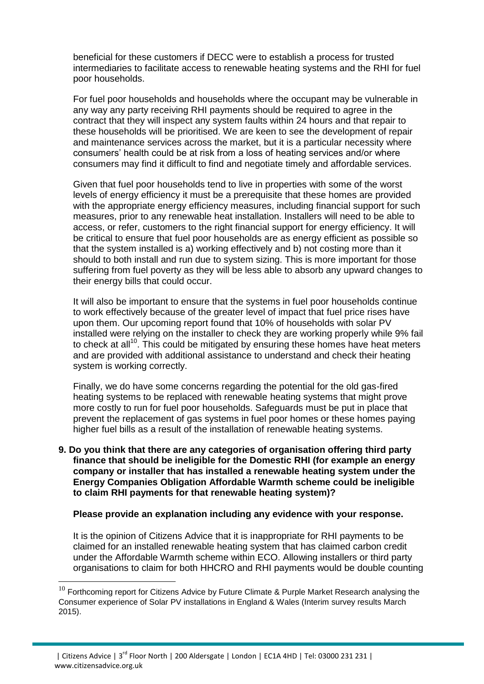beneficial for these customers if DECC were to establish a process for trusted intermediaries to facilitate access to renewable heating systems and the RHI for fuel poor households.

For fuel poor households and households where the occupant may be vulnerable in any way any party receiving RHI payments should be required to agree in the contract that they will inspect any system faults within 24 hours and that repair to these households will be prioritised. We are keen to see the development of repair and maintenance services across the market, but it is a particular necessity where consumers' health could be at risk from a loss of heating services and/or where consumers may find it difficult to find and negotiate timely and affordable services.

Given that fuel poor households tend to live in properties with some of the worst levels of energy efficiency it must be a prerequisite that these homes are provided with the appropriate energy efficiency measures, including financial support for such measures, prior to any renewable heat installation. Installers will need to be able to access, or refer, customers to the right financial support for energy efficiency. It will be critical to ensure that fuel poor households are as energy efficient as possible so that the system installed is a) working effectively and b) not costing more than it should to both install and run due to system sizing. This is more important for those suffering from fuel poverty as they will be less able to absorb any upward changes to their energy bills that could occur.

It will also be important to ensure that the systems in fuel poor households continue to work effectively because of the greater level of impact that fuel price rises have upon them. Our upcoming report found that 10% of households with solar PV installed were relying on the installer to check they are working properly while 9% fail to check at all<sup>10</sup>. This could be mitigated by ensuring these homes have heat meters and are provided with additional assistance to understand and check their heating system is working correctly.

Finally, we do have some concerns regarding the potential for the old gas-fired heating systems to be replaced with renewable heating systems that might prove more costly to run for fuel poor households. Safeguards must be put in place that prevent the replacement of gas systems in fuel poor homes or these homes paying higher fuel bills as a result of the installation of renewable heating systems.

**9. Do you think that there are any categories of organisation offering third party finance that should be ineligible for the Domestic RHI (for example an energy company or installer that has installed a renewable heating system under the Energy Companies Obligation Affordable Warmth scheme could be ineligible to claim RHI payments for that renewable heating system)?**

## **Please provide an explanation including any evidence with your response.**

It is the opinion of Citizens Advice that it is inappropriate for RHI payments to be claimed for an installed renewable heating system that has claimed carbon credit under the Affordable Warmth scheme within ECO. Allowing installers or third party organisations to claim for both HHCRO and RHI payments would be double counting

 $10$  Forthcoming report for Citizens Advice by Future Climate & Purple Market Research analysing the Consumer experience of Solar PV installations in England & Wales (Interim survey results March 2015).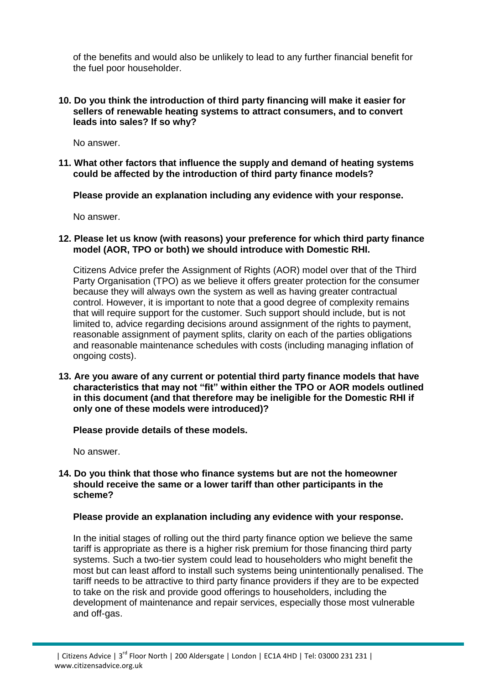of the benefits and would also be unlikely to lead to any further financial benefit for the fuel poor householder.

## **10. Do you think the introduction of third party financing will make it easier for sellers of renewable heating systems to attract consumers, and to convert leads into sales? If so why?**

No answer.

## **11. What other factors that influence the supply and demand of heating systems could be affected by the introduction of third party finance models?**

**Please provide an explanation including any evidence with your response.**

No answer.

## **12. Please let us know (with reasons) your preference for which third party finance model (AOR, TPO or both) we should introduce with Domestic RHI.**

Citizens Advice prefer the Assignment of Rights (AOR) model over that of the Third Party Organisation (TPO) as we believe it offers greater protection for the consumer because they will always own the system as well as having greater contractual control. However, it is important to note that a good degree of complexity remains that will require support for the customer. Such support should include, but is not limited to, advice regarding decisions around assignment of the rights to payment, reasonable assignment of payment splits, clarity on each of the parties obligations and reasonable maintenance schedules with costs (including managing inflation of ongoing costs).

**13. Are you aware of any current or potential third party finance models that have characteristics that may not "fit" within either the TPO or AOR models outlined in this document (and that therefore may be ineligible for the Domestic RHI if only one of these models were introduced)?**

## **Please provide details of these models.**

No answer.

## **14. Do you think that those who finance systems but are not the homeowner should receive the same or a lower tariff than other participants in the scheme?**

## **Please provide an explanation including any evidence with your response.**

In the initial stages of rolling out the third party finance option we believe the same tariff is appropriate as there is a higher risk premium for those financing third party systems. Such a two-tier system could lead to householders who might benefit the most but can least afford to install such systems being unintentionally penalised. The tariff needs to be attractive to third party finance providers if they are to be expected to take on the risk and provide good offerings to householders, including the development of maintenance and repair services, especially those most vulnerable and off-gas.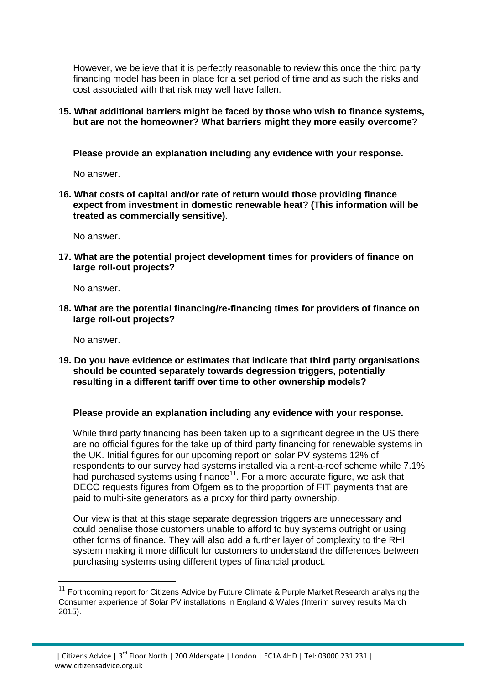However, we believe that it is perfectly reasonable to review this once the third party financing model has been in place for a set period of time and as such the risks and cost associated with that risk may well have fallen.

## **15. What additional barriers might be faced by those who wish to finance systems, but are not the homeowner? What barriers might they more easily overcome?**

**Please provide an explanation including any evidence with your response.**

No answer.

**16. What costs of capital and/or rate of return would those providing finance expect from investment in domestic renewable heat? (This information will be treated as commercially sensitive).**

No answer.

**17. What are the potential project development times for providers of finance on large roll-out projects?**

No answer.

**18. What are the potential financing/re-financing times for providers of finance on large roll-out projects?**

No answer.

1

**19. Do you have evidence or estimates that indicate that third party organisations should be counted separately towards degression triggers, potentially resulting in a different tariff over time to other ownership models?**

## **Please provide an explanation including any evidence with your response.**

While third party financing has been taken up to a significant degree in the US there are no official figures for the take up of third party financing for renewable systems in the UK. Initial figures for our upcoming report on solar PV systems 12% of respondents to our survey had systems installed via a rent-a-roof scheme while 7.1% had purchased systems using finance<sup>11</sup>. For a more accurate figure, we ask that DECC requests figures from Ofgem as to the proportion of FIT payments that are paid to multi-site generators as a proxy for third party ownership.

Our view is that at this stage separate degression triggers are unnecessary and could penalise those customers unable to afford to buy systems outright or using other forms of finance. They will also add a further layer of complexity to the RHI system making it more difficult for customers to understand the differences between purchasing systems using different types of financial product.

 $11$  Forthcoming report for Citizens Advice by Future Climate & Purple Market Research analysing the Consumer experience of Solar PV installations in England & Wales (Interim survey results March 2015).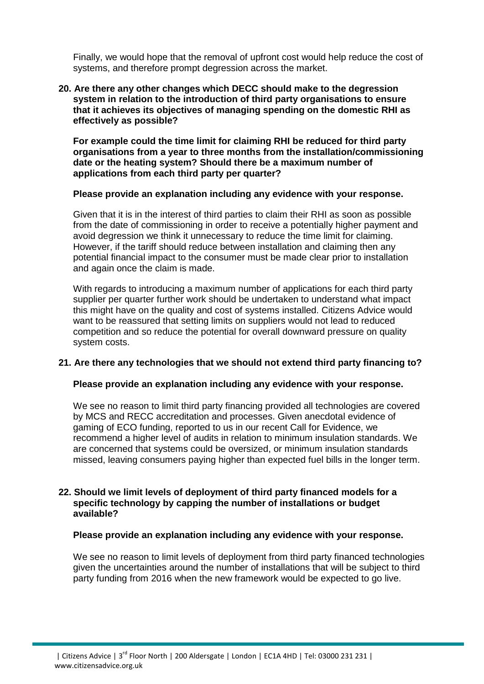Finally, we would hope that the removal of upfront cost would help reduce the cost of systems, and therefore prompt degression across the market.

## **20. Are there any other changes which DECC should make to the degression system in relation to the introduction of third party organisations to ensure that it achieves its objectives of managing spending on the domestic RHI as effectively as possible?**

**For example could the time limit for claiming RHI be reduced for third party organisations from a year to three months from the installation/commissioning date or the heating system? Should there be a maximum number of applications from each third party per quarter?**

#### **Please provide an explanation including any evidence with your response.**

Given that it is in the interest of third parties to claim their RHI as soon as possible from the date of commissioning in order to receive a potentially higher payment and avoid degression we think it unnecessary to reduce the time limit for claiming. However, if the tariff should reduce between installation and claiming then any potential financial impact to the consumer must be made clear prior to installation and again once the claim is made.

With regards to introducing a maximum number of applications for each third party supplier per quarter further work should be undertaken to understand what impact this might have on the quality and cost of systems installed. Citizens Advice would want to be reassured that setting limits on suppliers would not lead to reduced competition and so reduce the potential for overall downward pressure on quality system costs.

## **21. Are there any technologies that we should not extend third party financing to?**

## **Please provide an explanation including any evidence with your response.**

We see no reason to limit third party financing provided all technologies are covered by MCS and RECC accreditation and processes. Given anecdotal evidence of gaming of ECO funding, reported to us in our recent Call for Evidence, we recommend a higher level of audits in relation to minimum insulation standards. We are concerned that systems could be oversized, or minimum insulation standards missed, leaving consumers paying higher than expected fuel bills in the longer term.

## **22. Should we limit levels of deployment of third party financed models for a specific technology by capping the number of installations or budget available?**

#### **Please provide an explanation including any evidence with your response.**

We see no reason to limit levels of deployment from third party financed technologies given the uncertainties around the number of installations that will be subject to third party funding from 2016 when the new framework would be expected to go live.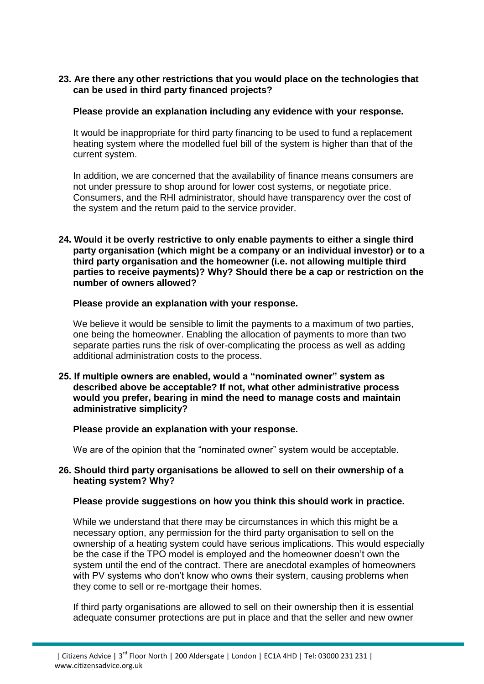## **23. Are there any other restrictions that you would place on the technologies that can be used in third party financed projects?**

## **Please provide an explanation including any evidence with your response.**

It would be inappropriate for third party financing to be used to fund a replacement heating system where the modelled fuel bill of the system is higher than that of the current system.

In addition, we are concerned that the availability of finance means consumers are not under pressure to shop around for lower cost systems, or negotiate price. Consumers, and the RHI administrator, should have transparency over the cost of the system and the return paid to the service provider.

**24. Would it be overly restrictive to only enable payments to either a single third party organisation (which might be a company or an individual investor) or to a third party organisation and the homeowner (i.e. not allowing multiple third parties to receive payments)? Why? Should there be a cap or restriction on the number of owners allowed?**

## **Please provide an explanation with your response.**

We believe it would be sensible to limit the payments to a maximum of two parties, one being the homeowner. Enabling the allocation of payments to more than two separate parties runs the risk of over-complicating the process as well as adding additional administration costs to the process.

**25. If multiple owners are enabled, would a "nominated owner" system as described above be acceptable? If not, what other administrative process would you prefer, bearing in mind the need to manage costs and maintain administrative simplicity?**

## **Please provide an explanation with your response.**

We are of the opinion that the "nominated owner" system would be acceptable.

## **26. Should third party organisations be allowed to sell on their ownership of a heating system? Why?**

## **Please provide suggestions on how you think this should work in practice.**

While we understand that there may be circumstances in which this might be a necessary option, any permission for the third party organisation to sell on the ownership of a heating system could have serious implications. This would especially be the case if the TPO model is employed and the homeowner doesn't own the system until the end of the contract. There are anecdotal examples of homeowners with PV systems who don't know who owns their system, causing problems when they come to sell or re-mortgage their homes.

If third party organisations are allowed to sell on their ownership then it is essential adequate consumer protections are put in place and that the seller and new owner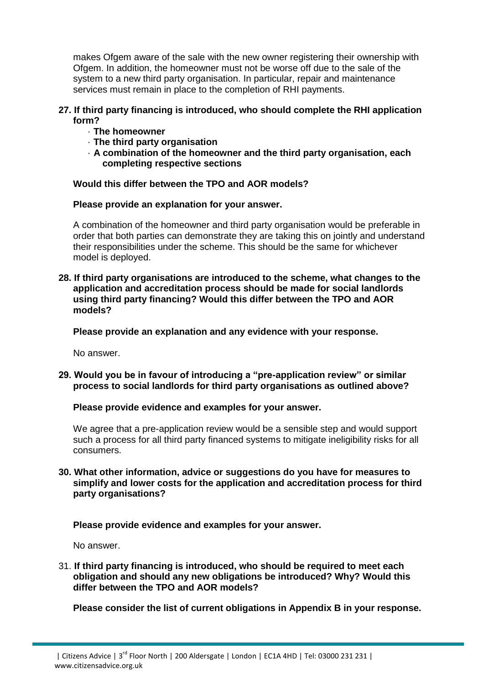makes Ofgem aware of the sale with the new owner registering their ownership with Ofgem. In addition, the homeowner must not be worse off due to the sale of the system to a new third party organisation. In particular, repair and maintenance services must remain in place to the completion of RHI payments.

## **27. If third party financing is introduced, who should complete the RHI application form?**

- · **The homeowner**
- · **The third party organisation**
- · **A combination of the homeowner and the third party organisation, each completing respective sections**

# **Would this differ between the TPO and AOR models?**

## **Please provide an explanation for your answer.**

A combination of the homeowner and third party organisation would be preferable in order that both parties can demonstrate they are taking this on jointly and understand their responsibilities under the scheme. This should be the same for whichever model is deployed.

**28. If third party organisations are introduced to the scheme, what changes to the application and accreditation process should be made for social landlords using third party financing? Would this differ between the TPO and AOR models?**

**Please provide an explanation and any evidence with your response.**

No answer.

**29. Would you be in favour of introducing a "pre-application review" or similar process to social landlords for third party organisations as outlined above?**

## **Please provide evidence and examples for your answer.**

We agree that a pre-application review would be a sensible step and would support such a process for all third party financed systems to mitigate ineligibility risks for all consumers.

## **30. What other information, advice or suggestions do you have for measures to simplify and lower costs for the application and accreditation process for third party organisations?**

**Please provide evidence and examples for your answer.**

No answer.

31. **If third party financing is introduced, who should be required to meet each obligation and should any new obligations be introduced? Why? Would this differ between the TPO and AOR models?**

**Please consider the list of current obligations in Appendix B in your response.**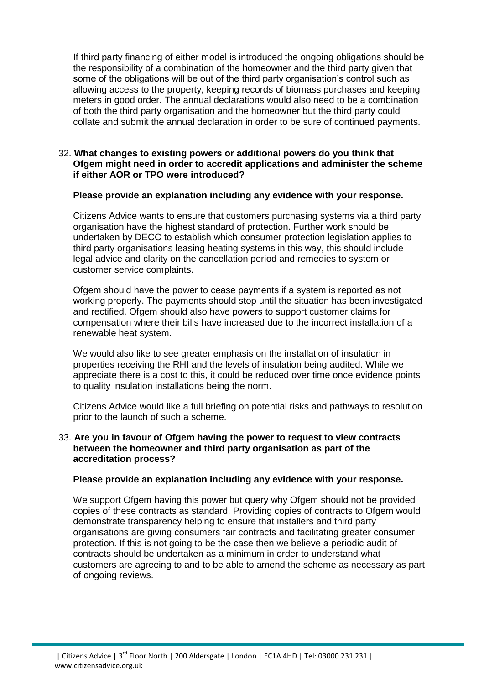If third party financing of either model is introduced the ongoing obligations should be the responsibility of a combination of the homeowner and the third party given that some of the obligations will be out of the third party organisation's control such as allowing access to the property, keeping records of biomass purchases and keeping meters in good order. The annual declarations would also need to be a combination of both the third party organisation and the homeowner but the third party could collate and submit the annual declaration in order to be sure of continued payments.

## 32. **What changes to existing powers or additional powers do you think that Ofgem might need in order to accredit applications and administer the scheme if either AOR or TPO were introduced?**

## **Please provide an explanation including any evidence with your response.**

Citizens Advice wants to ensure that customers purchasing systems via a third party organisation have the highest standard of protection. Further work should be undertaken by DECC to establish which consumer protection legislation applies to third party organisations leasing heating systems in this way, this should include legal advice and clarity on the cancellation period and remedies to system or customer service complaints.

Ofgem should have the power to cease payments if a system is reported as not working properly. The payments should stop until the situation has been investigated and rectified. Ofgem should also have powers to support customer claims for compensation where their bills have increased due to the incorrect installation of a renewable heat system.

We would also like to see greater emphasis on the installation of insulation in properties receiving the RHI and the levels of insulation being audited. While we appreciate there is a cost to this, it could be reduced over time once evidence points to quality insulation installations being the norm.

Citizens Advice would like a full briefing on potential risks and pathways to resolution prior to the launch of such a scheme.

## 33. **Are you in favour of Ofgem having the power to request to view contracts between the homeowner and third party organisation as part of the accreditation process?**

## **Please provide an explanation including any evidence with your response.**

We support Ofgem having this power but query why Ofgem should not be provided copies of these contracts as standard. Providing copies of contracts to Ofgem would demonstrate transparency helping to ensure that installers and third party organisations are giving consumers fair contracts and facilitating greater consumer protection. If this is not going to be the case then we believe a periodic audit of contracts should be undertaken as a minimum in order to understand what customers are agreeing to and to be able to amend the scheme as necessary as part of ongoing reviews.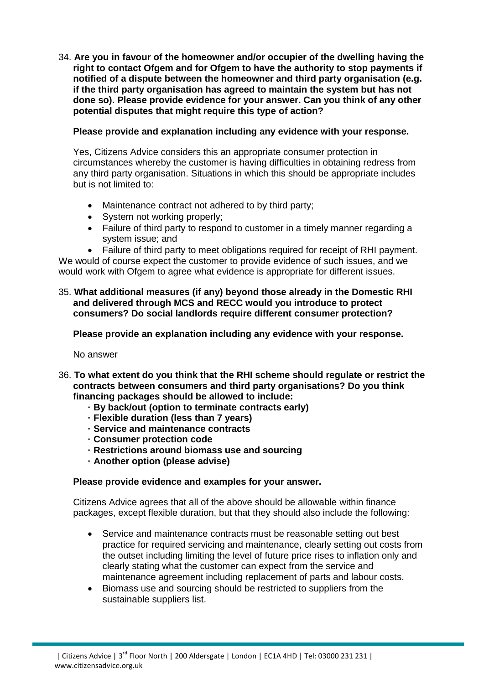34. **Are you in favour of the homeowner and/or occupier of the dwelling having the right to contact Ofgem and for Ofgem to have the authority to stop payments if notified of a dispute between the homeowner and third party organisation (e.g. if the third party organisation has agreed to maintain the system but has not done so). Please provide evidence for your answer. Can you think of any other potential disputes that might require this type of action?**

# **Please provide and explanation including any evidence with your response.**

Yes, Citizens Advice considers this an appropriate consumer protection in circumstances whereby the customer is having difficulties in obtaining redress from any third party organisation. Situations in which this should be appropriate includes but is not limited to:

- Maintenance contract not adhered to by third party;
- System not working properly;
- Failure of third party to respond to customer in a timely manner regarding a system issue; and
- Failure of third party to meet obligations required for receipt of RHI payment.

We would of course expect the customer to provide evidence of such issues, and we would work with Ofgem to agree what evidence is appropriate for different issues.

## 35. **What additional measures (if any) beyond those already in the Domestic RHI and delivered through MCS and RECC would you introduce to protect consumers? Do social landlords require different consumer protection?**

**Please provide an explanation including any evidence with your response.**

No answer

- 36. **To what extent do you think that the RHI scheme should regulate or restrict the contracts between consumers and third party organisations? Do you think financing packages should be allowed to include:**
	- **· By back/out (option to terminate contracts early)**
	- **· Flexible duration (less than 7 years)**
	- **· Service and maintenance contracts**
	- **· Consumer protection code**
	- **· Restrictions around biomass use and sourcing**
	- **· Another option (please advise)**

## **Please provide evidence and examples for your answer.**

Citizens Advice agrees that all of the above should be allowable within finance packages, except flexible duration, but that they should also include the following:

- Service and maintenance contracts must be reasonable setting out best practice for required servicing and maintenance, clearly setting out costs from the outset including limiting the level of future price rises to inflation only and clearly stating what the customer can expect from the service and maintenance agreement including replacement of parts and labour costs.
- Biomass use and sourcing should be restricted to suppliers from the sustainable suppliers list.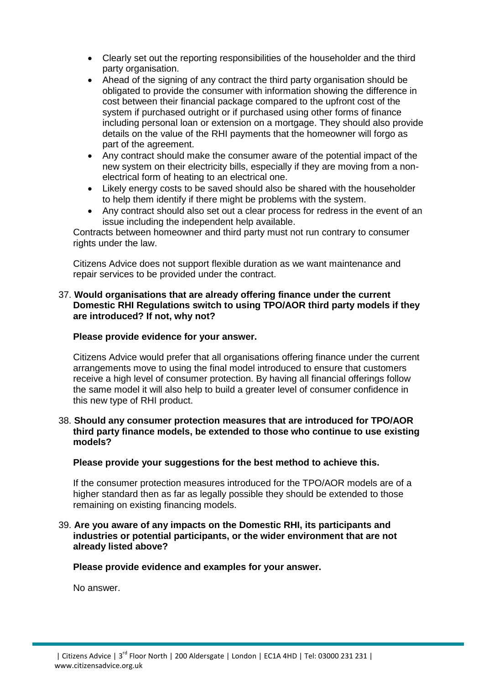- Clearly set out the reporting responsibilities of the householder and the third party organisation.
- Ahead of the signing of any contract the third party organisation should be obligated to provide the consumer with information showing the difference in cost between their financial package compared to the upfront cost of the system if purchased outright or if purchased using other forms of finance including personal loan or extension on a mortgage. They should also provide details on the value of the RHI payments that the homeowner will forgo as part of the agreement.
- Any contract should make the consumer aware of the potential impact of the new system on their electricity bills, especially if they are moving from a nonelectrical form of heating to an electrical one.
- Likely energy costs to be saved should also be shared with the householder to help them identify if there might be problems with the system.
- Any contract should also set out a clear process for redress in the event of an issue including the independent help available.

Contracts between homeowner and third party must not run contrary to consumer rights under the law.

Citizens Advice does not support flexible duration as we want maintenance and repair services to be provided under the contract.

## 37. **Would organisations that are already offering finance under the current Domestic RHI Regulations switch to using TPO/AOR third party models if they are introduced? If not, why not?**

## **Please provide evidence for your answer.**

Citizens Advice would prefer that all organisations offering finance under the current arrangements move to using the final model introduced to ensure that customers receive a high level of consumer protection. By having all financial offerings follow the same model it will also help to build a greater level of consumer confidence in this new type of RHI product.

## 38. **Should any consumer protection measures that are introduced for TPO/AOR third party finance models, be extended to those who continue to use existing models?**

**Please provide your suggestions for the best method to achieve this.**

If the consumer protection measures introduced for the TPO/AOR models are of a higher standard then as far as legally possible they should be extended to those remaining on existing financing models.

## 39. **Are you aware of any impacts on the Domestic RHI, its participants and industries or potential participants, or the wider environment that are not already listed above?**

## **Please provide evidence and examples for your answer.**

No answer.